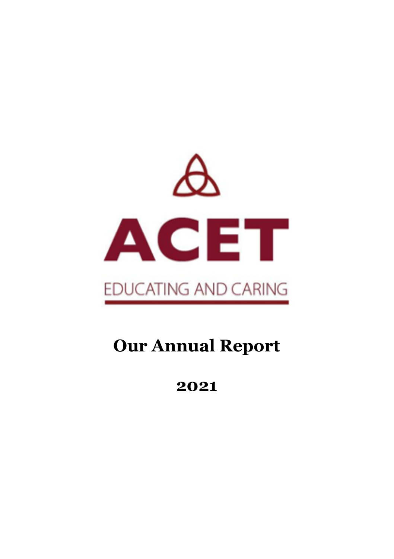

# **Our Annual Report**

**2021**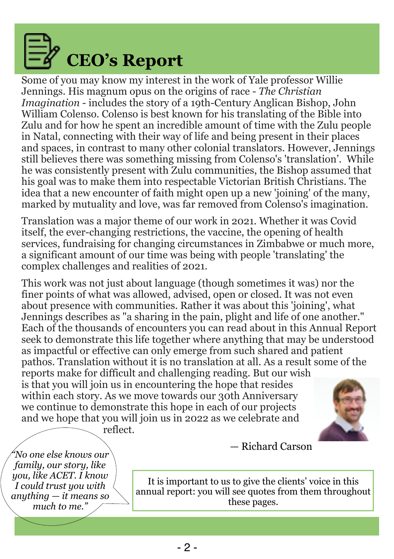

Some of you may know my interest in the work of Yale professor Willie Jennings. His magnum opus on the origins of race - *The Christian Imagination* - includes the story of a 19th-Century Anglican Bishop, John William Colenso. Colenso is best known for his translating of the Bible into Zulu and for how he spent an incredible amount of time with the Zulu people in Natal, connecting with their way of life and being present in their places and spaces, in contrast to many other colonial translators. However, Jennings still believes there was something missing from Colenso's 'translation'. While he was consistently present with Zulu communities, the Bishop assumed that his goal was to make them into respectable Victorian British Christians. The idea that a new encounter of faith might open up a new 'joining' of the many, marked by mutuality and love, was far removed from Colenso's imagination.

Translation was a major theme of our work in 2021. Whether it was Covid itself, the ever-changing restrictions, the vaccine, the opening of health services, fundraising for changing circumstances in Zimbabwe or much more, a significant amount of our time was being with people 'translating' the complex challenges and realities of 2021.

This work was not just about language (though sometimes it was) nor the finer points of what was allowed, advised, open or closed. It was not even about presence with communities. Rather it was about this 'joining', what Jennings describes as "a sharing in the pain, plight and life of one another." Each of the thousands of encounters you can read about in this Annual Report seek to demonstrate this life together where anything that may be understood as impactful or effective can only emerge from such shared and patient pathos. Translation without it is no translation at all. As a result some of the reports make for difficult and challenging reading. But our wish

is that you will join us in encountering the hope that resides within each story. As we move towards our 30th Anniversary we continue to demonstrate this hope in each of our projects and we hope that you will join us in 2022 as we celebrate and reflect.



*"No one else knows our family, our story, like you, like ACET. I know I could trust you with anything — it means so much to me."*

— Richard Carson

It is important to us to give the clients' voice in this annual report: you will see quotes from them throughout these pages.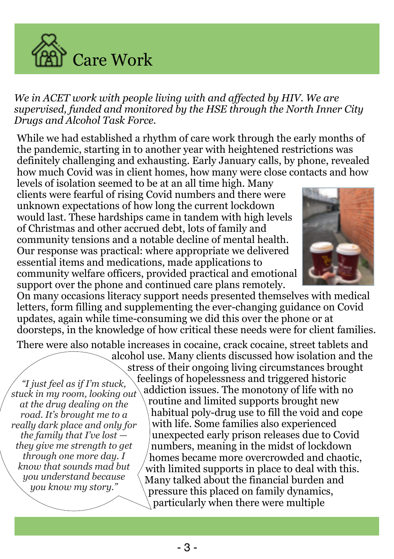

*We in ACET work with people living with and affected by HIV. We are supervised, funded and monitored by the HSE through the North Inner City Drugs and Alcohol Task Force.* 

While we had established a rhythm of care work through the early months of the pandemic, starting in to another year with heightened restrictions was definitely challenging and exhausting. Early January calls, by phone, revealed how much Covid was in client homes, how many were close contacts and how

levels of isolation seemed to be at an all time high. Many clients were fearful of rising Covid numbers and there were unknown expectations of how long the current lockdown would last. These hardships came in tandem with high levels of Christmas and other accrued debt, lots of family and community tensions and a notable decline of mental health. Our response was practical: where appropriate we delivered essential items and medications, made applications to community welfare officers, provided practical and emotional support over the phone and continued care plans remotely.



On many occasions literacy support needs presented themselves with medical letters, form filling and supplementing the ever-changing guidance on Covid updates, again while time-consuming we did this over the phone or at doorsteps, in the knowledge of how critical these needs were for client families.

There were also notable increases in cocaine, crack cocaine, street tablets and

*"I just feel as if I'm stuck, stuck in my room, looking out at the drug dealing on the road. It's brought me to a really dark place and only for the family that I've lost they give me strength to get through one more day. I know that sounds mad but you understand because you know my story."*

alcohol use. Many clients discussed how isolation and the stress of their ongoing living circumstances brought feelings of hopelessness and triggered historic addiction issues. The monotony of life with no routine and limited supports brought new habitual poly-drug use to fill the void and cope with life. Some families also experienced unexpected early prison releases due to Covid numbers, meaning in the midst of lockdown homes became more overcrowded and chaotic, with limited supports in place to deal with this. Many talked about the financial burden and pressure this placed on family dynamics, particularly when there were multiple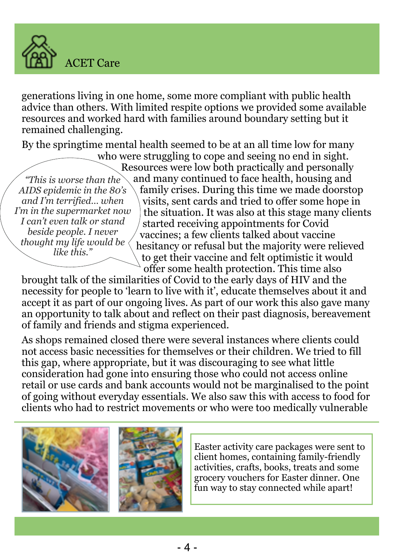

generations living in one home, some more compliant with public health advice than others. With limited respite options we provided some available resources and worked hard with families around boundary setting but it remained challenging.

By the springtime mental health seemed to be at an all time low for many

*"This is worse than the AIDS epidemic in the 80's and I'm terrified… when I'm in the supermarket now I can't even talk or stand beside people. I never thought my life would be like this."*

who were struggling to cope and seeing no end in sight. Resources were low both practically and personally and many continued to face health, housing and family crises. During this time we made doorstop visits, sent cards and tried to offer some hope in the situation. It was also at this stage many clients started receiving appointments for Covid vaccines; a few clients talked about vaccine hesitancy or refusal but the majority were relieved to get their vaccine and felt optimistic it would offer some health protection. This time also

brought talk of the similarities of Covid to the early days of HIV and the necessity for people to 'learn to live with it', educate themselves about it and accept it as part of our ongoing lives. As part of our work this also gave many an opportunity to talk about and reflect on their past diagnosis, bereavement of family and friends and stigma experienced.

As shops remained closed there were several instances where clients could not access basic necessities for themselves or their children. We tried to fill this gap, where appropriate, but it was discouraging to see what little consideration had gone into ensuring those who could not access online retail or use cards and bank accounts would not be marginalised to the point of going without everyday essentials. We also saw this with access to food for clients who had to restrict movements or who were too medically vulnerable





Easter activity care packages were sent to client homes, containing family-friendly activities, crafts, books, treats and some grocery vouchers for Easter dinner. One fun way to stay connected while apart!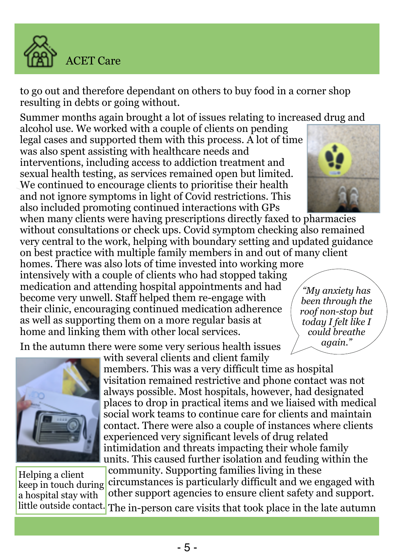

to go out and therefore dependant on others to buy food in a corner shop resulting in debts or going without.

Summer months again brought a lot of issues relating to increased drug and

alcohol use. We worked with a couple of clients on pending legal cases and supported them with this process. A lot of time was also spent assisting with healthcare needs and interventions, including access to addiction treatment and sexual health testing, as services remained open but limited. We continued to encourage clients to prioritise their health and not ignore symptoms in light of Covid restrictions. This also included promoting continued interactions with GPs

when many clients were having prescriptions directly faxed to pharmacies without consultations or check ups. Covid symptom checking also remained very central to the work, helping with boundary setting and updated guidance on best practice with multiple family members in and out of many client

homes. There was also lots of time invested into working more intensively with a couple of clients who had stopped taking medication and attending hospital appointments and had become very unwell. Staff helped them re-engage with their clinic, encouraging continued medication adherence as well as supporting them on a more regular basis at home and linking them with other local services.

In the autumn there were some very serious health issues



Helping a client keep in touch during a hospital stay with little outside contact.

with several clients and client family members. This was a very difficult time as hospital visitation remained restrictive and phone contact was not always possible. Most hospitals, however, had designated places to drop in practical items and we liaised with medical social work teams to continue care for clients and maintain contact. There were also a couple of instances where clients experienced very significant levels of drug related intimidation and threats impacting their whole family units. This caused further isolation and feuding within the

community. Supporting families living in these circumstances is particularly difficult and we engaged with other support agencies to ensure client safety and support.

The in-person care visits that took place in the late autumn



*"My anxiety has been through the roof non-stop but today I felt like I could breathe again."*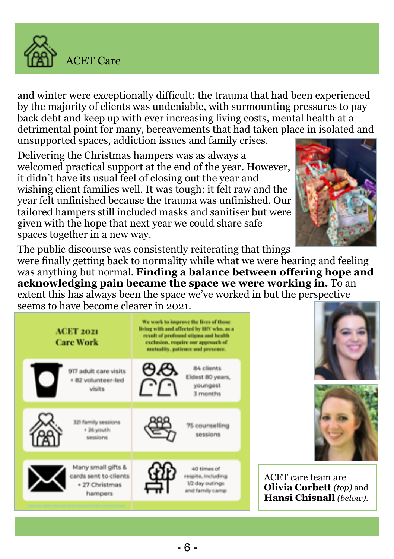

and winter were exceptionally difficult: the trauma that had been experienced by the majority of clients was undeniable, with surmounting pressures to pay back debt and keep up with ever increasing living costs, mental health at a detrimental point for many, bereavements that had taken place in isolated and unsupported spaces, addiction issues and family crises.

Delivering the Christmas hampers was as always a welcomed practical support at the end of the year. However, it didn't have its usual feel of closing out the year and wishing client families well. It was tough: it felt raw and the year felt unfinished because the trauma was unfinished. Our tailored hampers still included masks and sanitiser but were given with the hope that next year we could share safe spaces together in a new way.



The public discourse was consistently reiterating that things

were finally getting back to normality while what we were hearing and feeling was anything but normal. **Finding a balance between offering hope and acknowledging pain became the space we were working in.** To an extent this has always been the space we've worked in but the perspective seems to have become clearer in 2021.

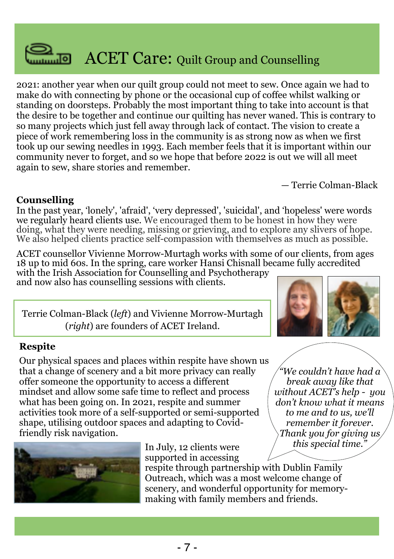

2021: another year when our quilt group could not meet to sew. Once again we had to make do with connecting by phone or the occasional cup of coffee whilst walking or standing on doorsteps. Probably the most important thing to take into account is that the desire to be together and continue our quilting has never waned. This is contrary to so many projects which just fell away through lack of contact. The vision to create a piece of work remembering loss in the community is as strong now as when we first took up our sewing needles in 1993. Each member feels that it is important within our community never to forget, and so we hope that before 2022 is out we will all meet again to sew, share stories and remember.

— Terrie Colman-Black

#### **Counselling**

In the past year, 'lonely', 'afraid', 'very depressed', 'suicidal', and 'hopeless' were words we regularly heard clients use. We encouraged them to be honest in how they were doing, what they were needing, missing or grieving, and to explore any slivers of hope. We also helped clients practice self-compassion with themselves as much as possible.

ACET counsellor Vivienne Morrow-Murtagh works with some of our clients, from ages 18 up to mid 60s. In the spring, care worker Hansi Chisnall became fully accredited

with the Irish Association for Counselling and Psychotherapy and now also has counselling sessions with clients.

Terrie Colman-Black (*left*) and Vivienne Morrow-Murtagh (*right*) are founders of ACET Ireland.



#### **Respite**

Our physical spaces and places within respite have shown us that a change of scenery and a bit more privacy can really offer someone the opportunity to access a different mindset and allow some safe time to reflect and process what has been going on. In 2021, respite and summer activities took more of a self-supported or semi-supported shape, utilising outdoor spaces and adapting to Covidfriendly risk navigation.



In July, 12 clients were supported in accessing

*"We couldn't have had a break away like that without ACET's help - you don't know what it means to me and to us, we'll remember it forever. Thank you for giving us this special time."*

respite through partnership with Dublin Family Outreach, which was a most welcome change of scenery, and wonderful opportunity for memorymaking with family members and friends.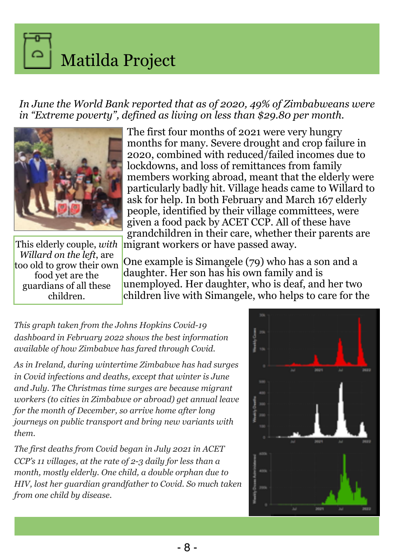Matilda Project

*In June the World Bank reported that as of 2020, 49% of Zimbabweans were in "Extreme poverty", defined as living on less than \$29.80 per month.*



This elderly couple, *with Willard on the left*, are too old to grow their own food yet are the guardians of all these children.

The first four months of 2021 were very hungry months for many. Severe drought and crop failure in 2020, combined with reduced/failed incomes due to lockdowns, and loss of remittances from family members working abroad, meant that the elderly were particularly badly hit. Village heads came to Willard to ask for help. In both February and March 167 elderly people, identified by their village committees, were given a food pack by ACET CCP. All of these have grandchildren in their care, whether their parents are migrant workers or have passed away.

One example is Simangele (79) who has a son and a daughter. Her son has his own family and is unemployed. Her daughter, who is deaf, and her two children live with Simangele, who helps to care for the

*This graph taken from the Johns Hopkins Covid-19 dashboard in February 2022 shows the best information available of how Zimbabwe has fared through Covid.* 

*As in Ireland, during wintertime Zimbabwe has had surges in Covid infections and deaths, except that winter is June and July. The Christmas time surges are because migrant workers (to cities in Zimbabwe or abroad) get annual leave for the month of December, so arrive home after long journeys on public transport and bring new variants with them.*

*The first deaths from Covid began in July 2021 in ACET CCP's 11 villages, at the rate of 2-3 daily for less than a month, mostly elderly. One child, a double orphan due to HIV, lost her guardian grandfather to Covid. So much taken from one child by disease.*

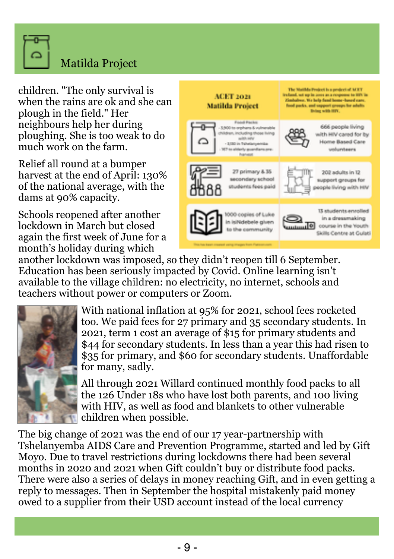

## Matilda Project

children. "The only survival is when the rains are ok and she can plough in the field." Her neighbours help her during ploughing. She is too weak to do much work on the farm.

Relief all round at a bumper harvest at the end of April: 130% of the national average, with the dams at 90% capacity.

Schools reopened after another lockdown in March but closed again the first week of June for a month's holiday during which



another lockdown was imposed, so they didn't reopen till 6 September. Education has been seriously impacted by Covid. Online learning isn't available to the village children: no electricity, no internet, schools and teachers without power or computers or Zoom.



With national inflation at 95% for 2021, school fees rocketed too. We paid fees for 27 primary and 35 secondary students. In 2021, term 1 cost an average of \$15 for primary students and \$44 for secondary students. In less than a year this had risen to \$35 for primary, and \$60 for secondary students. Unaffordable for many, sadly.

All through 2021 Willard continued monthly food packs to all the 126 Under 18s who have lost both parents, and 100 living with HIV, as well as food and blankets to other vulnerable children when possible.

The big change of 2021 was the end of our 17 year-partnership with Tshelanyemba AIDS Care and Prevention Programme, started and led by Gift Moyo. Due to travel restrictions during lockdowns there had been several months in 2020 and 2021 when Gift couldn't buy or distribute food packs. There were also a series of delays in money reaching Gift, and in even getting a reply to messages. Then in September the hospital mistakenly paid money owed to a supplier from their USD account instead of the local currency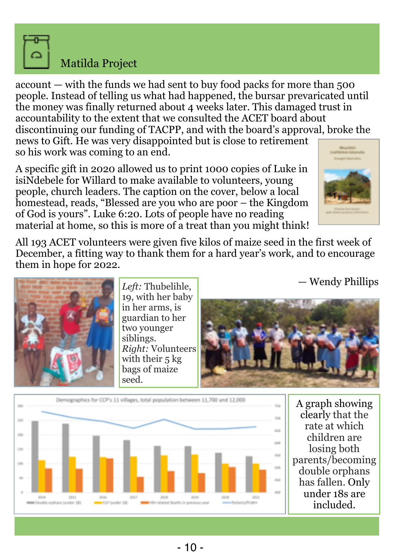

#### Matilda Project

account — with the funds we had sent to buy food packs for more than 500 people. Instead of telling us what had happened, the bursar prevaricated until the money was finally returned about 4 weeks later. This damaged trust in accountability to the extent that we consulted the ACET board about discontinuing our funding of TACPP, and with the board's approval, broke the news to Gift. He was very disappointed but is close to retirement so his work was coming to an end.

A specific gift in 2020 allowed us to print 1000 copies of Luke in isiNdebele for Willard to make available to volunteers, young people, church leaders. The caption on the cover, below a local homestead, reads, "Blessed are you who are poor – the Kingdom of God is yours". Luke 6:20. Lots of people have no reading material at home, so this is more of a treat than you might think!



All 193 ACET volunteers were given five kilos of maize seed in the first week of December, a fitting way to thank them for a hard year's work, and to encourage them in hope for 2022.

— Wendy Phillips



*Left:* Thubelihle, 19, with her baby in her arms, is guardian to her two younger siblings. *Right:* Volunteers with their 5 kg bags of maize seed.





A graph showing clearly that the rate at which children are losing both parents/becoming double orphans has fallen. Only under 18s are included.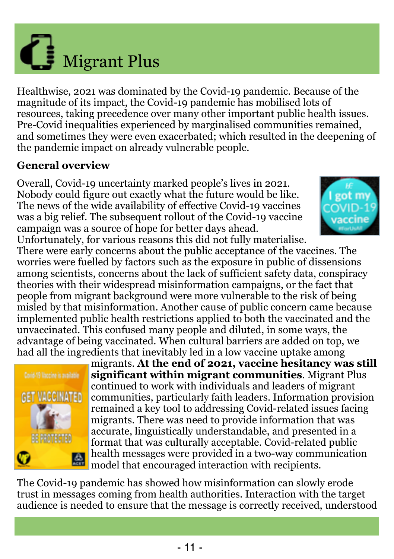

The Covid-19 pandemic has showed how misinformation can slowly erode trust in messages coming from health authorities. Interaction with the target audience is needed to ensure that the message is correctly received, understood

magnitude of its impact, the Covid-19 pandemic has mobilised lots of resources, taking precedence over many other important public health issues. Pre-Covid inequalities experienced by marginalised communities remained, and sometimes they were even exacerbated; which resulted in the deepening of the pandemic impact on already vulnerable people. **General overview** Overall, Covid-19 uncertainty marked people's lives in 2021.

Healthwise, 2021 was dominated by the Covid-19 pandemic. Because of the

Nobody could figure out exactly what the future would be like. The news of the wide availability of effective Covid-19 vaccines was a big relief. The subsequent rollout of the Covid-19 vaccine campaign was a source of hope for better days ahead. Unfortunately, for various reasons this did not fully materialise.

There were early concerns about the public acceptance of the vaccines. The worries were fuelled by factors such as the exposure in public of dissensions among scientists, concerns about the lack of sufficient safety data, conspiracy theories with their widespread misinformation campaigns, or the fact that people from migrant background were more vulnerable to the risk of being misled by that misinformation. Another cause of public concern came because implemented public health restrictions applied to both the vaccinated and the unvaccinated. This confused many people and diluted, in some ways, the advantage of being vaccinated. When cultural barriers are added on top, we had all the ingredients that inevitably led in a low vaccine uptake among migrants. **At the end of 2021, vaccine hesitancy was still** 





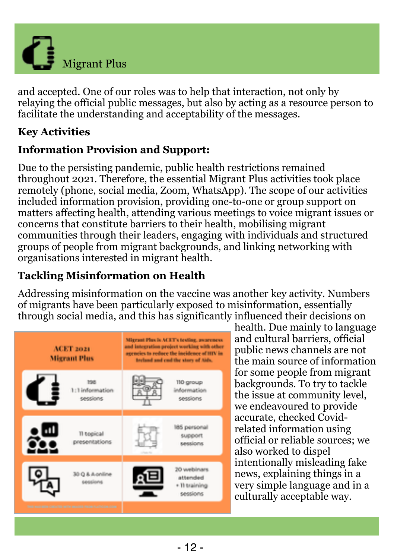

and accepted. One of our roles was to help that interaction, not only by relaying the official public messages, but also by acting as a resource person to facilitate the understanding and acceptability of the messages.

#### **Key Activities**

#### **Information Provision and Support:**

Due to the persisting pandemic, public health restrictions remained throughout 2021. Therefore, the essential Migrant Plus activities took place remotely (phone, social media, Zoom, WhatsApp). The scope of our activities included information provision, providing one-to-one or group support on matters affecting health, attending various meetings to voice migrant issues or concerns that constitute barriers to their health, mobilising migrant communities through their leaders, engaging with individuals and structured groups of people from migrant backgrounds, and linking networking with organisations interested in migrant health.

## **Tackling Misinformation on Health**

Addressing misinformation on the vaccine was another key activity. Numbers of migrants have been particularly exposed to misinformation, essentially through social media, and this has significantly influenced their decisions on



health. Due mainly to language and cultural barriers, official public news channels are not the main source of information for some people from migrant backgrounds. To try to tackle the issue at community level, we endeavoured to provide accurate, checked Covidrelated information using official or reliable sources; we also worked to dispel intentionally misleading fake news, explaining things in a very simple language and in a culturally acceptable way.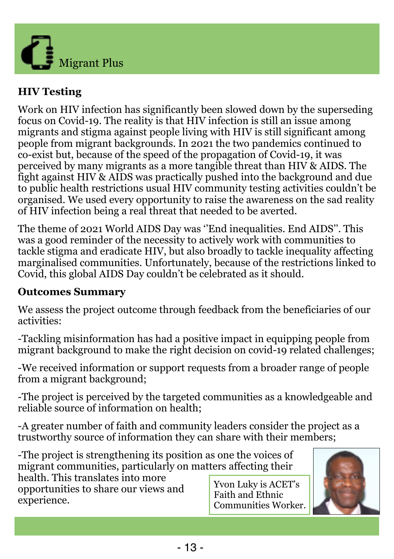

#### **HIV Testing**

Work on HIV infection has significantly been slowed down by the superseding focus on Covid-19. The reality is that HIV infection is still an issue among migrants and stigma against people living with HIV is still significant among people from migrant backgrounds. In 2021 the two pandemics continued to co-exist but, because of the speed of the propagation of Covid-19, it was perceived by many migrants as a more tangible threat than HIV & AIDS. The fight against HIV & AIDS was practically pushed into the background and due to public health restrictions usual HIV community testing activities couldn't be organised. We used every opportunity to raise the awareness on the sad reality of HIV infection being a real threat that needed to be averted.

The theme of 2021 World AIDS Day was ''End inequalities. End AIDS''. This was a good reminder of the necessity to actively work with communities to tackle stigma and eradicate HIV, but also broadly to tackle inequality affecting marginalised communities. Unfortunately, because of the restrictions linked to Covid, this global AIDS Day couldn't be celebrated as it should.

#### **Outcomes Summary**

We assess the project outcome through feedback from the beneficiaries of our activities:

-Tackling misinformation has had a positive impact in equipping people from migrant background to make the right decision on covid-19 related challenges;

-We received information or support requests from a broader range of people from a migrant background;

-The project is perceived by the targeted communities as a knowledgeable and reliable source of information on health;

-A greater number of faith and community leaders consider the project as a trustworthy source of information they can share with their members;

-The project is strengthening its position as one the voices of migrant communities, particularly on matters affecting their

health. This translates into more opportunities to share our views and experience.

Yvon Luky is ACET's Faith and Ethnic Communities Worker.

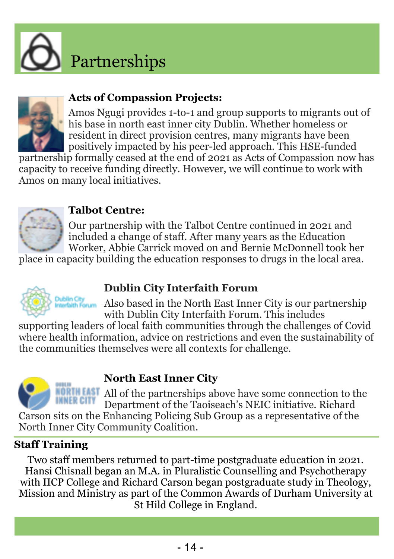![](_page_13_Picture_0.jpeg)

![](_page_13_Picture_1.jpeg)

#### **Acts of Compassion Projects:**

Amos Ngugi provides 1-to-1 and group supports to migrants out of his base in north east inner city Dublin. Whether homeless or resident in direct provision centres, many migrants have been positively impacted by his peer-led approach. This HSE-funded

partnership formally ceased at the end of 2021 as Acts of Compassion now has capacity to receive funding directly. However, we will continue to work with Amos on many local initiatives.

![](_page_13_Picture_5.jpeg)

#### **Talbot Centre:**

Our partnership with the Talbot Centre continued in 2021 and included a change of staff. After many years as the Education Worker, Abbie Carrick moved on and Bernie McDonnell took her

place in capacity building the education responses to drugs in the local area.

#### **Dublin City Interfaith Forum**

Also based in the North East Inner City is our partnership with Dublin City Interfaith Forum. This includes

supporting leaders of local faith communities through the challenges of Covid where health information, advice on restrictions and even the sustainability of the communities themselves were all contexts for challenge.

![](_page_13_Picture_13.jpeg)

#### **North East Inner City**

**RIN EAST** All of the partnerships above have some connection to the Department of the Taoiseach's NEIC initiative. Richard Carson sits on the Enhancing Policing Sub Group as a representative of the

North Inner City Community Coalition.

#### **Staff Training**

Two staff members returned to part-time postgraduate education in 2021. Hansi Chisnall began an M.A. in Pluralistic Counselling and Psychotherapy with IICP College and Richard Carson began postgraduate study in Theology, Mission and Ministry as part of the Common Awards of Durham University at St Hild College in England.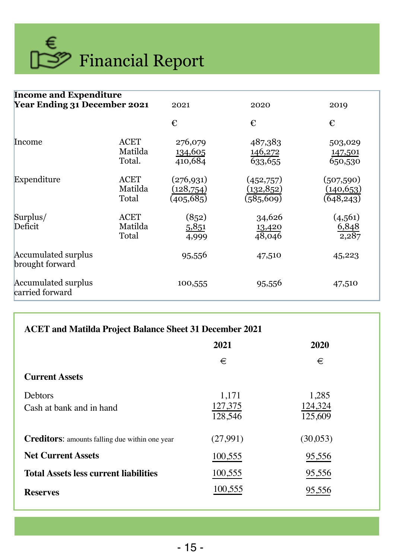![](_page_14_Picture_0.jpeg)

| <b>Income and Expenditure</b>          |                                 |                                        |                                       |                                        |  |
|----------------------------------------|---------------------------------|----------------------------------------|---------------------------------------|----------------------------------------|--|
| <b>Year Ending 31 December 2021</b>    |                                 | 2021                                   | 2020                                  | 2019                                   |  |
|                                        |                                 | €                                      | €                                     | €                                      |  |
| Income                                 | ACET<br>Matilda<br>Total.       | 276,079<br>134,605<br>410,684          | 487,383<br>146,272<br>633,655         | 503,029<br>147,501<br>650,530          |  |
| Expenditure                            | <b>ACET</b><br>Matilda<br>Total | (276, 931)<br>(128, 754)<br>(405, 685) | (452,757)<br>(132, 852)<br>(585, 609) | (507, 590)<br>(140, 653)<br>(648, 243) |  |
| Surplus/<br>Deficit                    | <b>ACET</b><br>Matilda<br>Total | (852)<br>5,851<br>4,999                | 34,626<br>13,420<br>48,046            | (4, 561)<br>6,848<br>2,287             |  |
| Accumulated surplus<br>brought forward |                                 | 95,556                                 | 47,510                                | 45,223                                 |  |
| Accumulated surplus<br>carried forward |                                 | 100,555                                | 95,556                                | 47,510                                 |  |

| <b>ACET</b> and Matilda Project Balance Sheet 31 December 2021 |                             |                             |  |  |  |
|----------------------------------------------------------------|-----------------------------|-----------------------------|--|--|--|
|                                                                | 2021                        | 2020                        |  |  |  |
|                                                                | €                           | €                           |  |  |  |
| <b>Current Assets</b>                                          |                             |                             |  |  |  |
| <b>Debtors</b><br>Cash at bank and in hand                     | 1,171<br>127,375<br>128,546 | 1,285<br>124,324<br>125,609 |  |  |  |
| <b>Creditors:</b> amounts falling due within one year          | (27,991)                    | (30,053)                    |  |  |  |
| <b>Net Current Assets</b>                                      | 100,555                     | 95,556                      |  |  |  |
| <b>Total Assets less current liabilities</b>                   | 100,555                     | 95,556                      |  |  |  |
| <b>Reserves</b>                                                | 100,555                     | 95,556                      |  |  |  |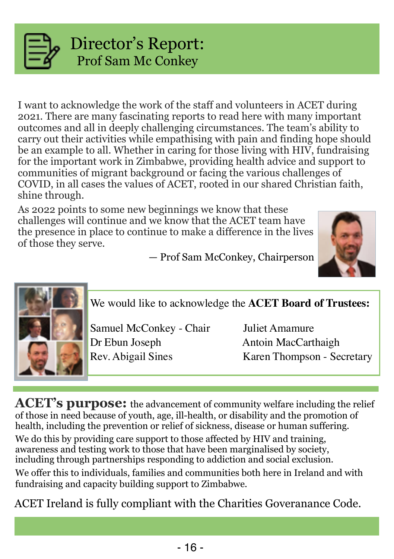![](_page_15_Picture_0.jpeg)

## Director's Report: Prof Sam Mc Conkey

I want to acknowledge the work of the staff and volunteers in ACET during 2021. There are many fascinating reports to read here with many important outcomes and all in deeply challenging circumstances. The team's ability to carry out their activities while empathising with pain and finding hope should be an example to all. Whether in caring for those living with HIV, fundraising for the important work in Zimbabwe, providing health advice and support to communities of migrant background or facing the various challenges of COVID, in all cases the values of ACET, rooted in our shared Christian faith, shine through.

As 2022 points to some new beginnings we know that these challenges will continue and we know that the ACET team have the presence in place to continue to make a difference in the lives of those they serve.

— Prof Sam McConkey, Chairperson

![](_page_15_Picture_5.jpeg)

![](_page_15_Picture_6.jpeg)

We would like to acknowledge the **ACET Board of Trustees:**

Samuel McConkey - Chair Juliet Amamure Dr Ebun Joseph Antoin MacCarthaigh

Rev. Abigail Sines Karen Thompson - Secretary

**ACET's purpose:** the advancement of community welfare including the relief of those in need because of youth, age, ill-health, or disability and the promotion of health, including the prevention or relief of sickness, disease or human suffering.

We do this by providing care support to those affected by HIV and training, awareness and testing work to those that have been marginalised by society, including through partnerships responding to addiction and social exclusion.

We offer this to individuals, families and communities both here in Ireland and with fundraising and capacity building support to Zimbabwe.

ACET Ireland is fully compliant with the Charities Goveranance Code.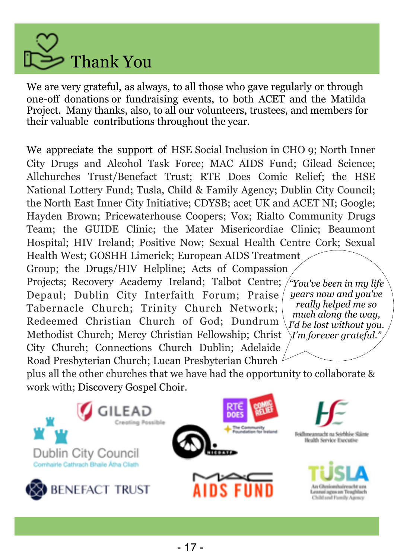![](_page_16_Picture_0.jpeg)

We are very grateful, as always, to all those who gave regularly or through one-off donations or fundraising events, to both ACET and the Matilda Project. Many thanks, also, to all our volunteers, trustees, and members for their valuable contributions throughout the year.

We appreciate the support of HSE Social Inclusion in CHO 9; North Inner City Drugs and Alcohol Task Force; MAC AIDS Fund; Gilead Science; Allchurches Trust/Benefact Trust; RTE Does Comic Relief; the HSE National Lottery Fund; Tusla, Child & Family Agency; Dublin City Council; the North East Inner City Initiative; CDYSB; acet UK and ACET NI; Google; Hayden Brown; Pricewaterhouse Coopers; Vox; Rialto Community Drugs Team; the GUIDE Clinic; the Mater Misericordiae Clinic; Beaumont Hospital; HIV Ireland; Positive Now; Sexual Health Centre Cork; Sexual Health West; GOSHH Limerick; European AIDS Treatment Group; the Drugs/HIV Helpline; Acts of Compassion Projects; Recovery Academy Ireland; Talbot Centre; Depaul; Dublin City Interfaith Forum; Praise Tabernacle Church; Trinity Church Network; Redeemed Christian Church of God; Dundrum Methodist Church; Mercy Christian Fellowship; Christ City Church; Connections Church Dublin; Adelaide Road Presbyterian Church; Lucan Presbyterian Church plus all the other churches that we have had the opportunity to collaborate & work with; Discovery Gospel Choir. *"You've been in my life years now and you've really helped me so much along the way, I'd be lost without you. I'm forever grateful."*

![](_page_16_Picture_3.jpeg)